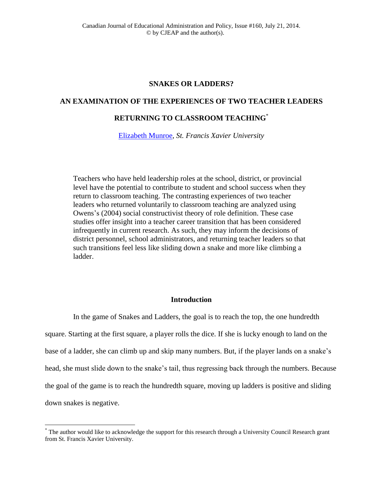# **SNAKES OR LADDERS?**

# **AN EXAMINATION OF THE EXPERIENCES OF TWO TEACHER LEADERS**

# **RETURNING TO CLASSROOM TEACHING**\*

[Elizabeth Munroe,](mailto:emunroe@stfx.ca) *St. Francis Xavier University*

Teachers who have held leadership roles at the school, district, or provincial level have the potential to contribute to student and school success when they return to classroom teaching. The contrasting experiences of two teacher leaders who returned voluntarily to classroom teaching are analyzed using Owens's (2004) social constructivist theory of role definition. These case studies offer insight into a teacher career transition that has been considered infrequently in current research. As such, they may inform the decisions of district personnel, school administrators, and returning teacher leaders so that such transitions feel less like sliding down a snake and more like climbing a ladder.

# **Introduction**

In the game of Snakes and Ladders, the goal is to reach the top, the one hundredth square. Starting at the first square, a player rolls the dice. If she is lucky enough to land on the base of a ladder, she can climb up and skip many numbers. But, if the player lands on a snake's head, she must slide down to the snake's tail, thus regressing back through the numbers. Because the goal of the game is to reach the hundredth square, moving up ladders is positive and sliding down snakes is negative.

 $\overline{a}$ 

<sup>\*</sup> The author would like to acknowledge the support for this research through a University Council Research grant from St. Francis Xavier University.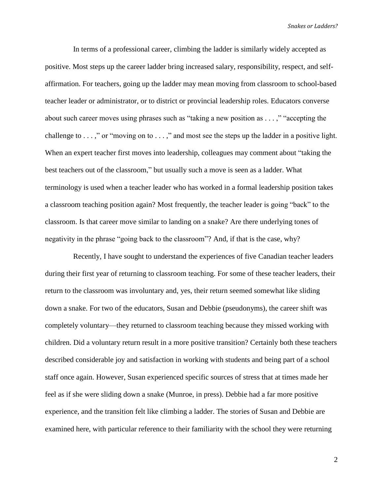In terms of a professional career, climbing the ladder is similarly widely accepted as positive. Most steps up the career ladder bring increased salary, responsibility, respect, and selfaffirmation. For teachers, going up the ladder may mean moving from classroom to school-based teacher leader or administrator, or to district or provincial leadership roles. Educators converse about such career moves using phrases such as "taking a new position as . . . ," "accepting the challenge to . . . ," or "moving on to . . . ," and most see the steps up the ladder in a positive light. When an expert teacher first moves into leadership, colleagues may comment about "taking the best teachers out of the classroom," but usually such a move is seen as a ladder. What terminology is used when a teacher leader who has worked in a formal leadership position takes a classroom teaching position again? Most frequently, the teacher leader is going "back" to the classroom. Is that career move similar to landing on a snake? Are there underlying tones of negativity in the phrase "going back to the classroom"? And, if that is the case, why?

Recently, I have sought to understand the experiences of five Canadian teacher leaders during their first year of returning to classroom teaching. For some of these teacher leaders, their return to the classroom was involuntary and, yes, their return seemed somewhat like sliding down a snake. For two of the educators, Susan and Debbie (pseudonyms), the career shift was completely voluntary—they returned to classroom teaching because they missed working with children. Did a voluntary return result in a more positive transition? Certainly both these teachers described considerable joy and satisfaction in working with students and being part of a school staff once again. However, Susan experienced specific sources of stress that at times made her feel as if she were sliding down a snake (Munroe, in press). Debbie had a far more positive experience, and the transition felt like climbing a ladder. The stories of Susan and Debbie are examined here, with particular reference to their familiarity with the school they were returning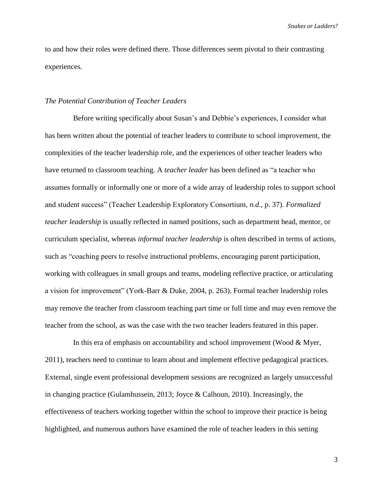to and how their roles were defined there. Those differences seem pivotal to their contrasting experiences.

#### *The Potential Contribution of Teacher Leaders*

Before writing specifically about Susan's and Debbie's experiences, I consider what has been written about the potential of teacher leaders to contribute to school improvement, the complexities of the teacher leadership role, and the experiences of other teacher leaders who have returned to classroom teaching. A *teacher leader* has been defined as "a teacher who assumes formally or informally one or more of a wide array of leadership roles to support school and student success" (Teacher Leadership Exploratory Consortium, *n.d.*, p. 37). *Formalized teacher leadership* is usually reflected in named positions, such as department head, mentor, or curriculum specialist, whereas *informal teacher leadership* is often described in terms of actions, such as "coaching peers to resolve instructional problems, encouraging parent participation, working with colleagues in small groups and teams, modeling reflective practice, or articulating a vision for improvement" (York-Barr & Duke, 2004, p. 263). Formal teacher leadership roles may remove the teacher from classroom teaching part time or full time and may even remove the teacher from the school, as was the case with the two teacher leaders featured in this paper.

In this era of emphasis on accountability and school improvement (Wood & Myer, 2011), teachers need to continue to learn about and implement effective pedagogical practices. External, single event professional development sessions are recognized as largely unsuccessful in changing practice (Gulamhussein, 2013; Joyce & Calhoun, 2010). Increasingly, the effectiveness of teachers working together within the school to improve their practice is being highlighted, and numerous authors have examined the role of teacher leaders in this setting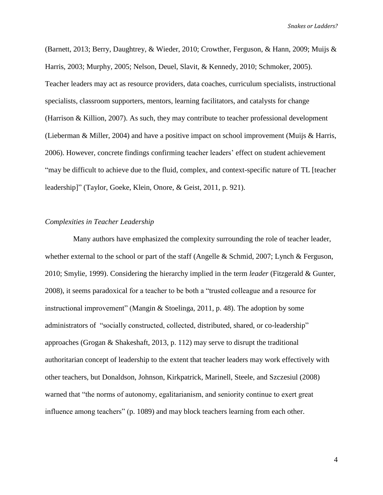(Barnett, 2013; Berry, Daughtrey, & Wieder, 2010; Crowther, Ferguson, & Hann, 2009; Muijs & Harris, 2003; Murphy, 2005; Nelson, Deuel, Slavit, & Kennedy, 2010; Schmoker, 2005). Teacher leaders may act as resource providers, data coaches, curriculum specialists, instructional specialists, classroom supporters, mentors, learning facilitators, and catalysts for change (Harrison & Killion, 2007). As such, they may contribute to teacher professional development (Lieberman & Miller, 2004) and have a positive impact on school improvement (Muijs & Harris, 2006). However, concrete findings confirming teacher leaders' effect on student achievement "may be difficult to achieve due to the fluid, complex, and context-specific nature of TL [teacher leadership]" (Taylor, Goeke, Klein, Onore, & Geist, 2011, p. 921).

## *Complexities in Teacher Leadership*

Many authors have emphasized the complexity surrounding the role of teacher leader, whether external to the school or part of the staff (Angelle & Schmid, 2007; Lynch & Ferguson, 2010; Smylie, 1999). Considering the hierarchy implied in the term *leader* (Fitzgerald & Gunter, 2008), it seems paradoxical for a teacher to be both a "trusted colleague and a resource for instructional improvement" (Mangin & Stoelinga, 2011, p. 48). The adoption by some administrators of "socially constructed, collected, distributed, shared, or co-leadership" approaches (Grogan & Shakeshaft, 2013, p. 112) may serve to disrupt the traditional authoritarian concept of leadership to the extent that teacher leaders may work effectively with other teachers, but Donaldson, Johnson, Kirkpatrick, Marinell, Steele, and Szczesiul (2008) warned that "the norms of autonomy, egalitarianism, and seniority continue to exert great influence among teachers" (p. 1089) and may block teachers learning from each other.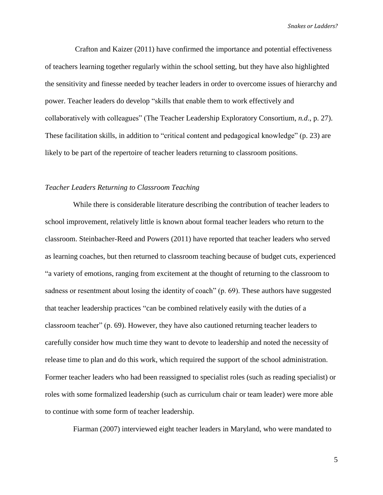Crafton and Kaizer (2011) have confirmed the importance and potential effectiveness of teachers learning together regularly within the school setting, but they have also highlighted the sensitivity and finesse needed by teacher leaders in order to overcome issues of hierarchy and power. Teacher leaders do develop "skills that enable them to work effectively and collaboratively with colleagues" (The Teacher Leadership Exploratory Consortium, *n.d*., p. 27). These facilitation skills, in addition to "critical content and pedagogical knowledge" (p. 23) are likely to be part of the repertoire of teacher leaders returning to classroom positions.

## *Teacher Leaders Returning to Classroom Teaching*

While there is considerable literature describing the contribution of teacher leaders to school improvement, relatively little is known about formal teacher leaders who return to the classroom. Steinbacher-Reed and Powers (2011) have reported that teacher leaders who served as learning coaches, but then returned to classroom teaching because of budget cuts, experienced "a variety of emotions, ranging from excitement at the thought of returning to the classroom to sadness or resentment about losing the identity of coach" (p. 69). These authors have suggested that teacher leadership practices "can be combined relatively easily with the duties of a classroom teacher" (p. 69). However, they have also cautioned returning teacher leaders to carefully consider how much time they want to devote to leadership and noted the necessity of release time to plan and do this work, which required the support of the school administration. Former teacher leaders who had been reassigned to specialist roles (such as reading specialist) or roles with some formalized leadership (such as curriculum chair or team leader) were more able to continue with some form of teacher leadership.

Fiarman (2007) interviewed eight teacher leaders in Maryland, who were mandated to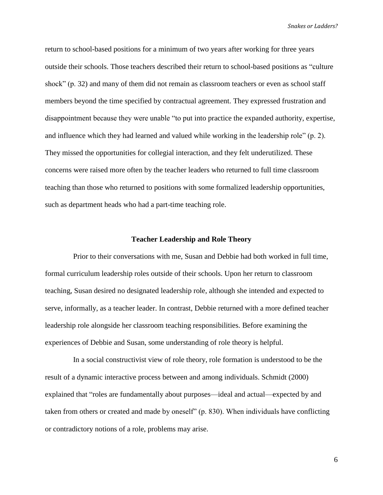return to school-based positions for a minimum of two years after working for three years outside their schools. Those teachers described their return to school-based positions as "culture shock" (p. 32) and many of them did not remain as classroom teachers or even as school staff members beyond the time specified by contractual agreement. They expressed frustration and disappointment because they were unable "to put into practice the expanded authority, expertise, and influence which they had learned and valued while working in the leadership role" (p. 2). They missed the opportunities for collegial interaction, and they felt underutilized. These concerns were raised more often by the teacher leaders who returned to full time classroom teaching than those who returned to positions with some formalized leadership opportunities, such as department heads who had a part-time teaching role.

#### **Teacher Leadership and Role Theory**

Prior to their conversations with me, Susan and Debbie had both worked in full time, formal curriculum leadership roles outside of their schools. Upon her return to classroom teaching, Susan desired no designated leadership role, although she intended and expected to serve, informally, as a teacher leader. In contrast, Debbie returned with a more defined teacher leadership role alongside her classroom teaching responsibilities. Before examining the experiences of Debbie and Susan, some understanding of role theory is helpful.

In a social constructivist view of role theory, role formation is understood to be the result of a dynamic interactive process between and among individuals. Schmidt (2000) explained that "roles are fundamentally about purposes—ideal and actual—expected by and taken from others or created and made by oneself" (p. 830). When individuals have conflicting or contradictory notions of a role, problems may arise.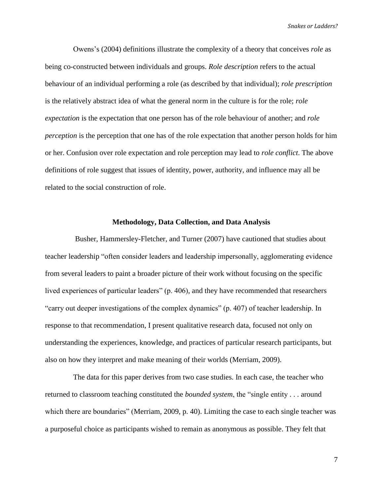Owens's (2004) definitions illustrate the complexity of a theory that conceives *role* as being co-constructed between individuals and groups. *Role description* refers to the actual behaviour of an individual performing a role (as described by that individual); *role prescription* is the relatively abstract idea of what the general norm in the culture is for the role; *role expectation* is the expectation that one person has of the role behaviour of another; and *role perception* is the perception that one has of the role expectation that another person holds for him or her. Confusion over role expectation and role perception may lead to *role conflict*. The above definitions of role suggest that issues of identity, power, authority, and influence may all be related to the social construction of role.

#### **Methodology, Data Collection, and Data Analysis**

Busher, Hammersley-Fletcher, and Turner (2007) have cautioned that studies about teacher leadership "often consider leaders and leadership impersonally, agglomerating evidence from several leaders to paint a broader picture of their work without focusing on the specific lived experiences of particular leaders" (p. 406), and they have recommended that researchers "carry out deeper investigations of the complex dynamics" (p. 407) of teacher leadership. In response to that recommendation, I present qualitative research data, focused not only on understanding the experiences, knowledge, and practices of particular research participants, but also on how they interpret and make meaning of their worlds (Merriam, 2009).

The data for this paper derives from two case studies. In each case, the teacher who returned to classroom teaching constituted the *bounded system*, the "single entity . . . around which there are boundaries" (Merriam, 2009, p. 40). Limiting the case to each single teacher was a purposeful choice as participants wished to remain as anonymous as possible. They felt that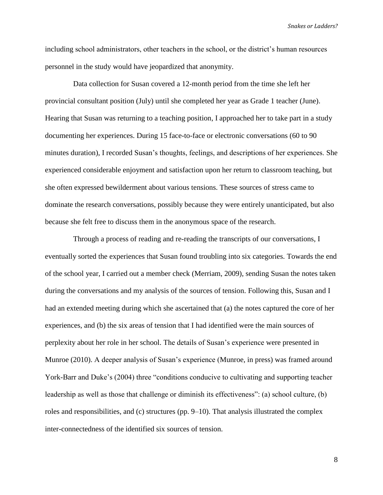including school administrators, other teachers in the school, or the district's human resources personnel in the study would have jeopardized that anonymity.

Data collection for Susan covered a 12-month period from the time she left her provincial consultant position (July) until she completed her year as Grade 1 teacher (June). Hearing that Susan was returning to a teaching position, I approached her to take part in a study documenting her experiences. During 15 face-to-face or electronic conversations (60 to 90 minutes duration), I recorded Susan's thoughts, feelings, and descriptions of her experiences. She experienced considerable enjoyment and satisfaction upon her return to classroom teaching, but she often expressed bewilderment about various tensions. These sources of stress came to dominate the research conversations, possibly because they were entirely unanticipated, but also because she felt free to discuss them in the anonymous space of the research.

Through a process of reading and re-reading the transcripts of our conversations, I eventually sorted the experiences that Susan found troubling into six categories. Towards the end of the school year, I carried out a member check (Merriam, 2009), sending Susan the notes taken during the conversations and my analysis of the sources of tension. Following this, Susan and I had an extended meeting during which she ascertained that (a) the notes captured the core of her experiences, and (b) the six areas of tension that I had identified were the main sources of perplexity about her role in her school. The details of Susan's experience were presented in Munroe (2010). A deeper analysis of Susan's experience (Munroe, in press) was framed around York-Barr and Duke's (2004) three "conditions conducive to cultivating and supporting teacher leadership as well as those that challenge or diminish its effectiveness": (a) school culture, (b) roles and responsibilities, and (c) structures (pp. 9–10). That analysis illustrated the complex inter-connectedness of the identified six sources of tension.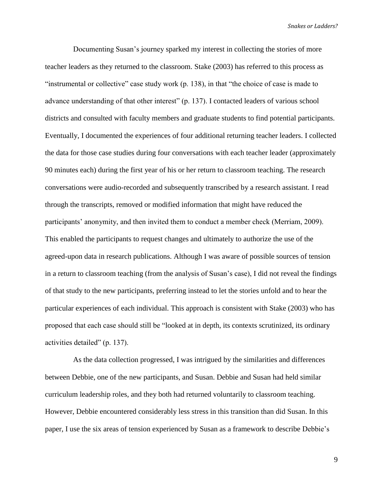Documenting Susan's journey sparked my interest in collecting the stories of more teacher leaders as they returned to the classroom. Stake (2003) has referred to this process as "instrumental or collective" case study work (p. 138), in that "the choice of case is made to advance understanding of that other interest" (p. 137). I contacted leaders of various school districts and consulted with faculty members and graduate students to find potential participants. Eventually, I documented the experiences of four additional returning teacher leaders. I collected the data for those case studies during four conversations with each teacher leader (approximately 90 minutes each) during the first year of his or her return to classroom teaching. The research conversations were audio-recorded and subsequently transcribed by a research assistant. I read through the transcripts, removed or modified information that might have reduced the participants' anonymity, and then invited them to conduct a member check (Merriam, 2009). This enabled the participants to request changes and ultimately to authorize the use of the agreed-upon data in research publications. Although I was aware of possible sources of tension in a return to classroom teaching (from the analysis of Susan's case), I did not reveal the findings of that study to the new participants, preferring instead to let the stories unfold and to hear the particular experiences of each individual. This approach is consistent with Stake (2003) who has proposed that each case should still be "looked at in depth, its contexts scrutinized, its ordinary activities detailed" (p. 137).

As the data collection progressed, I was intrigued by the similarities and differences between Debbie, one of the new participants, and Susan. Debbie and Susan had held similar curriculum leadership roles, and they both had returned voluntarily to classroom teaching. However, Debbie encountered considerably less stress in this transition than did Susan. In this paper, I use the six areas of tension experienced by Susan as a framework to describe Debbie's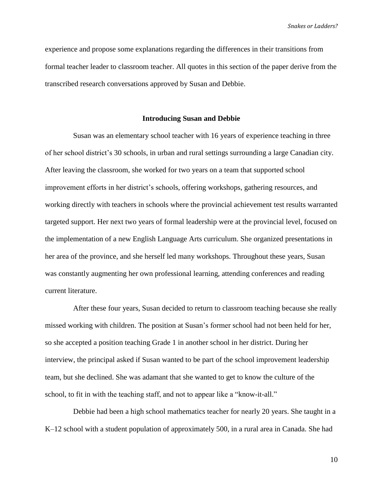experience and propose some explanations regarding the differences in their transitions from formal teacher leader to classroom teacher. All quotes in this section of the paper derive from the transcribed research conversations approved by Susan and Debbie.

#### **Introducing Susan and Debbie**

Susan was an elementary school teacher with 16 years of experience teaching in three of her school district's 30 schools, in urban and rural settings surrounding a large Canadian city. After leaving the classroom, she worked for two years on a team that supported school improvement efforts in her district's schools, offering workshops, gathering resources, and working directly with teachers in schools where the provincial achievement test results warranted targeted support. Her next two years of formal leadership were at the provincial level, focused on the implementation of a new English Language Arts curriculum. She organized presentations in her area of the province, and she herself led many workshops. Throughout these years, Susan was constantly augmenting her own professional learning, attending conferences and reading current literature.

After these four years, Susan decided to return to classroom teaching because she really missed working with children. The position at Susan's former school had not been held for her, so she accepted a position teaching Grade 1 in another school in her district. During her interview, the principal asked if Susan wanted to be part of the school improvement leadership team, but she declined. She was adamant that she wanted to get to know the culture of the school, to fit in with the teaching staff, and not to appear like a "know-it-all."

Debbie had been a high school mathematics teacher for nearly 20 years. She taught in a K–12 school with a student population of approximately 500, in a rural area in Canada. She had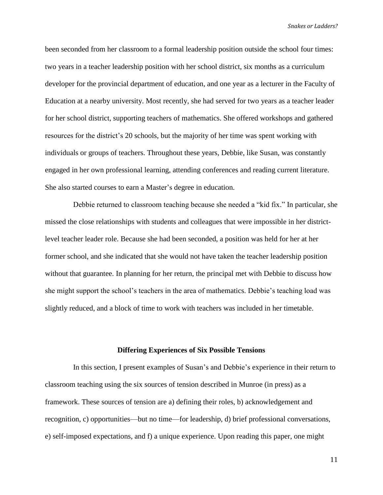been seconded from her classroom to a formal leadership position outside the school four times: two years in a teacher leadership position with her school district, six months as a curriculum developer for the provincial department of education, and one year as a lecturer in the Faculty of Education at a nearby university. Most recently, she had served for two years as a teacher leader for her school district, supporting teachers of mathematics. She offered workshops and gathered resources for the district's 20 schools, but the majority of her time was spent working with individuals or groups of teachers. Throughout these years, Debbie, like Susan, was constantly engaged in her own professional learning, attending conferences and reading current literature. She also started courses to earn a Master's degree in education.

Debbie returned to classroom teaching because she needed a "kid fix." In particular, she missed the close relationships with students and colleagues that were impossible in her districtlevel teacher leader role. Because she had been seconded, a position was held for her at her former school, and she indicated that she would not have taken the teacher leadership position without that guarantee. In planning for her return, the principal met with Debbie to discuss how she might support the school's teachers in the area of mathematics. Debbie's teaching load was slightly reduced, and a block of time to work with teachers was included in her timetable.

#### **Differing Experiences of Six Possible Tensions**

In this section, I present examples of Susan's and Debbie's experience in their return to classroom teaching using the six sources of tension described in Munroe (in press) as a framework. These sources of tension are a) defining their roles, b) acknowledgement and recognition, c) opportunities—but no time—for leadership, d) brief professional conversations, e) self-imposed expectations, and f) a unique experience. Upon reading this paper, one might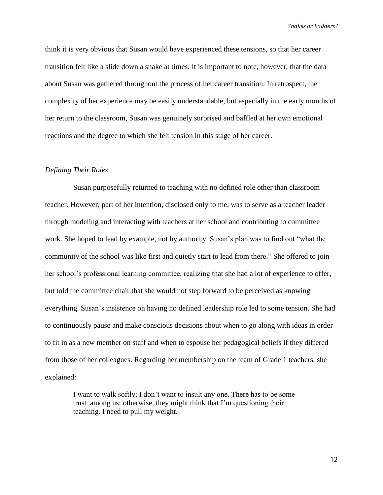think it is very obvious that Susan would have experienced these tensions, so that her career transition felt like a slide down a snake at times. It is important to note, however, that the data about Susan was gathered throughout the process of her career transition. In retrospect, the complexity of her experience may be easily understandable, but especially in the early months of her return to the classroom, Susan was genuinely surprised and baffled at her own emotional reactions and the degree to which she felt tension in this stage of her career.

#### *Defining Their Roles*

Susan purposefully returned to teaching with no defined role other than classroom teacher. However, part of her intention, disclosed only to me, was to serve as a teacher leader through modeling and interacting with teachers at her school and contributing to committee work. She hoped to lead by example, not by authority. Susan's plan was to find out "what the community of the school was like first and quietly start to lead from there." She offered to join her school's professional learning committee, realizing that she had a lot of experience to offer, but told the committee chair that she would not step forward to be perceived as knowing everything. Susan's insistence on having no defined leadership role led to some tension. She had to continuously pause and make conscious decisions about when to go along with ideas in order to fit in as a new member on staff and when to espouse her pedagogical beliefs if they differed from those of her colleagues. Regarding her membership on the team of Grade 1 teachers, she explained:

I want to walk softly; I don't want to insult any one. There has to be some trust among us; otherwise, they might think that I'm questioning their teaching. I need to pull my weight.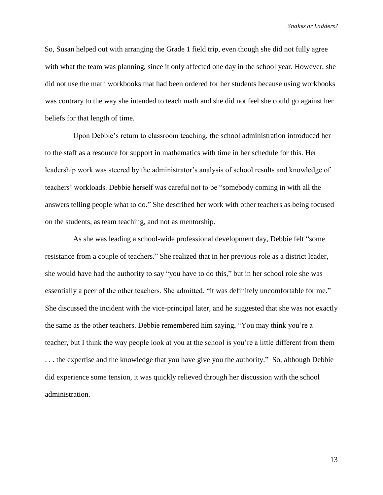So, Susan helped out with arranging the Grade 1 field trip, even though she did not fully agree with what the team was planning, since it only affected one day in the school year. However, she did not use the math workbooks that had been ordered for her students because using workbooks was contrary to the way she intended to teach math and she did not feel she could go against her beliefs for that length of time.

Upon Debbie's return to classroom teaching, the school administration introduced her to the staff as a resource for support in mathematics with time in her schedule for this. Her leadership work was steered by the administrator's analysis of school results and knowledge of teachers' workloads. Debbie herself was careful not to be "somebody coming in with all the answers telling people what to do." She described her work with other teachers as being focused on the students, as team teaching, and not as mentorship.

As she was leading a school-wide professional development day, Debbie felt "some resistance from a couple of teachers." She realized that in her previous role as a district leader, she would have had the authority to say "you have to do this," but in her school role she was essentially a peer of the other teachers. She admitted, "it was definitely uncomfortable for me." She discussed the incident with the vice-principal later, and he suggested that she was not exactly the same as the other teachers. Debbie remembered him saying, "You may think you're a teacher, but I think the way people look at you at the school is you're a little different from them . . . the expertise and the knowledge that you have give you the authority." So, although Debbie did experience some tension, it was quickly relieved through her discussion with the school administration.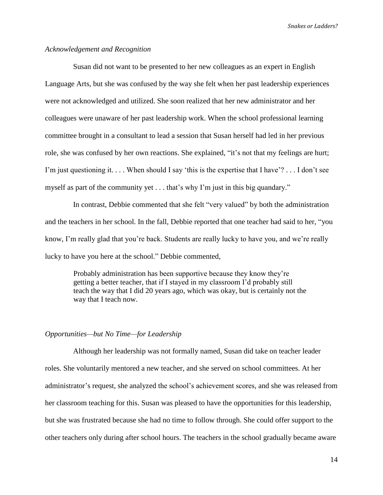#### *Acknowledgement and Recognition*

Susan did not want to be presented to her new colleagues as an expert in English Language Arts, but she was confused by the way she felt when her past leadership experiences were not acknowledged and utilized. She soon realized that her new administrator and her colleagues were unaware of her past leadership work. When the school professional learning committee brought in a consultant to lead a session that Susan herself had led in her previous role, she was confused by her own reactions. She explained, "it's not that my feelings are hurt; I'm just questioning it. . . . When should I say 'this is the expertise that I have'? . . . I don't see myself as part of the community yet . . . that's why I'm just in this big quandary."

In contrast, Debbie commented that she felt "very valued" by both the administration and the teachers in her school. In the fall, Debbie reported that one teacher had said to her, "you know, I'm really glad that you're back. Students are really lucky to have you, and we're really lucky to have you here at the school." Debbie commented,

Probably administration has been supportive because they know they're getting a better teacher, that if I stayed in my classroom I'd probably still teach the way that I did 20 years ago, which was okay, but is certainly not the way that I teach now.

#### *Opportunities—but No Time—for Leadership*

Although her leadership was not formally named, Susan did take on teacher leader roles. She voluntarily mentored a new teacher, and she served on school committees. At her administrator's request, she analyzed the school's achievement scores, and she was released from her classroom teaching for this. Susan was pleased to have the opportunities for this leadership, but she was frustrated because she had no time to follow through. She could offer support to the other teachers only during after school hours. The teachers in the school gradually became aware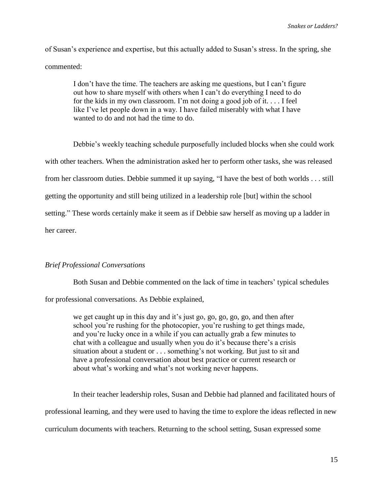of Susan's experience and expertise, but this actually added to Susan's stress. In the spring, she commented:

I don't have the time. The teachers are asking me questions, but I can't figure out how to share myself with others when I can't do everything I need to do for the kids in my own classroom. I'm not doing a good job of it. . . . I feel like I've let people down in a way. I have failed miserably with what I have wanted to do and not had the time to do.

Debbie's weekly teaching schedule purposefully included blocks when she could work with other teachers. When the administration asked her to perform other tasks, she was released from her classroom duties. Debbie summed it up saying, "I have the best of both worlds . . . still getting the opportunity and still being utilized in a leadership role [but] within the school setting." These words certainly make it seem as if Debbie saw herself as moving up a ladder in her career.

#### *Brief Professional Conversations*

Both Susan and Debbie commented on the lack of time in teachers' typical schedules

for professional conversations. As Debbie explained,

we get caught up in this day and it's just go, go, go, go, go, and then after school you're rushing for the photocopier, you're rushing to get things made, and you're lucky once in a while if you can actually grab a few minutes to chat with a colleague and usually when you do it's because there's a crisis situation about a student or . . . something's not working. But just to sit and have a professional conversation about best practice or current research or about what's working and what's not working never happens.

In their teacher leadership roles, Susan and Debbie had planned and facilitated hours of professional learning, and they were used to having the time to explore the ideas reflected in new curriculum documents with teachers. Returning to the school setting, Susan expressed some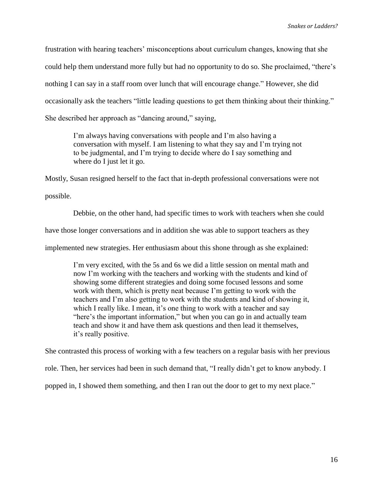frustration with hearing teachers' misconceptions about curriculum changes, knowing that she could help them understand more fully but had no opportunity to do so. She proclaimed, "there's nothing I can say in a staff room over lunch that will encourage change." However, she did occasionally ask the teachers "little leading questions to get them thinking about their thinking." She described her approach as "dancing around," saying,

I'm always having conversations with people and I'm also having a conversation with myself. I am listening to what they say and I'm trying not to be judgmental, and I'm trying to decide where do I say something and where do I just let it go.

Mostly, Susan resigned herself to the fact that in-depth professional conversations were not

possible.

Debbie, on the other hand, had specific times to work with teachers when she could

have those longer conversations and in addition she was able to support teachers as they

implemented new strategies. Her enthusiasm about this shone through as she explained:

I'm very excited, with the 5s and 6s we did a little session on mental math and now I'm working with the teachers and working with the students and kind of showing some different strategies and doing some focused lessons and some work with them, which is pretty neat because I'm getting to work with the teachers and I'm also getting to work with the students and kind of showing it, which I really like. I mean, it's one thing to work with a teacher and say "here's the important information," but when you can go in and actually team teach and show it and have them ask questions and then lead it themselves, it's really positive.

She contrasted this process of working with a few teachers on a regular basis with her previous

role. Then, her services had been in such demand that, "I really didn't get to know anybody. I

popped in, I showed them something, and then I ran out the door to get to my next place."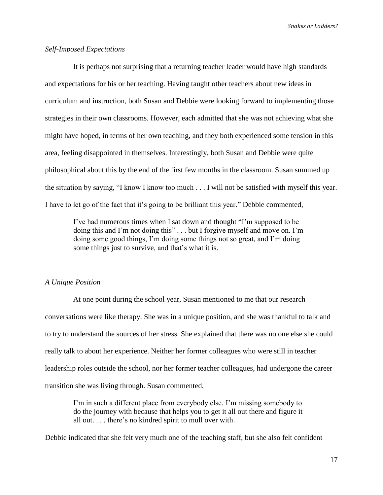# *Self-Imposed Expectations*

It is perhaps not surprising that a returning teacher leader would have high standards and expectations for his or her teaching. Having taught other teachers about new ideas in curriculum and instruction, both Susan and Debbie were looking forward to implementing those strategies in their own classrooms. However, each admitted that she was not achieving what she might have hoped, in terms of her own teaching, and they both experienced some tension in this area, feeling disappointed in themselves. Interestingly, both Susan and Debbie were quite philosophical about this by the end of the first few months in the classroom. Susan summed up the situation by saying, "I know I know too much . . . I will not be satisfied with myself this year. I have to let go of the fact that it's going to be brilliant this year." Debbie commented,

I've had numerous times when I sat down and thought "I'm supposed to be doing this and I'm not doing this" . . . but I forgive myself and move on. I'm doing some good things, I'm doing some things not so great, and I'm doing some things just to survive, and that's what it is.

# *A Unique Position*

At one point during the school year, Susan mentioned to me that our research conversations were like therapy. She was in a unique position, and she was thankful to talk and to try to understand the sources of her stress. She explained that there was no one else she could really talk to about her experience. Neither her former colleagues who were still in teacher leadership roles outside the school, nor her former teacher colleagues, had undergone the career transition she was living through. Susan commented,

I'm in such a different place from everybody else. I'm missing somebody to do the journey with because that helps you to get it all out there and figure it all out. . . . there's no kindred spirit to mull over with.

Debbie indicated that she felt very much one of the teaching staff, but she also felt confident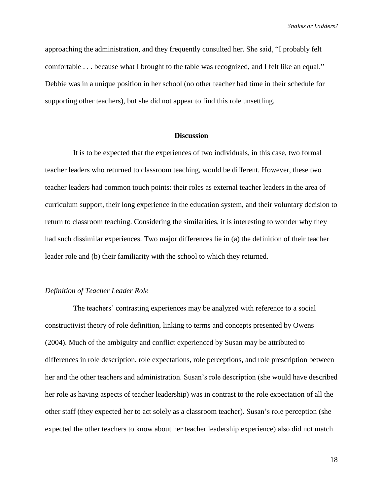approaching the administration, and they frequently consulted her. She said, "I probably felt comfortable . . . because what I brought to the table was recognized, and I felt like an equal." Debbie was in a unique position in her school (no other teacher had time in their schedule for supporting other teachers), but she did not appear to find this role unsettling.

### **Discussion**

It is to be expected that the experiences of two individuals, in this case, two formal teacher leaders who returned to classroom teaching, would be different. However, these two teacher leaders had common touch points: their roles as external teacher leaders in the area of curriculum support, their long experience in the education system, and their voluntary decision to return to classroom teaching. Considering the similarities, it is interesting to wonder why they had such dissimilar experiences. Two major differences lie in (a) the definition of their teacher leader role and (b) their familiarity with the school to which they returned.

#### *Definition of Teacher Leader Role*

The teachers' contrasting experiences may be analyzed with reference to a social constructivist theory of role definition, linking to terms and concepts presented by Owens (2004). Much of the ambiguity and conflict experienced by Susan may be attributed to differences in role description, role expectations, role perceptions, and role prescription between her and the other teachers and administration. Susan's role description (she would have described her role as having aspects of teacher leadership) was in contrast to the role expectation of all the other staff (they expected her to act solely as a classroom teacher). Susan's role perception (she expected the other teachers to know about her teacher leadership experience) also did not match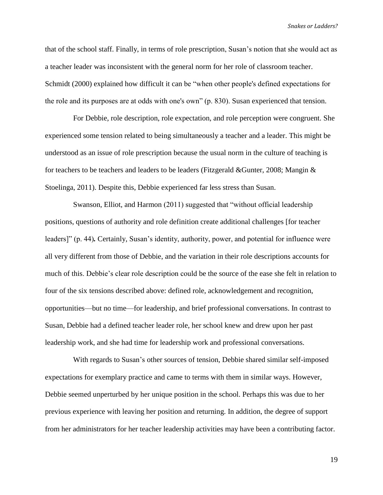that of the school staff. Finally, in terms of role prescription, Susan's notion that she would act as a teacher leader was inconsistent with the general norm for her role of classroom teacher. Schmidt (2000) explained how difficult it can be "when other people's defined expectations for the role and its purposes are at odds with one's own" (p. 830). Susan experienced that tension.

For Debbie, role description, role expectation, and role perception were congruent. She experienced some tension related to being simultaneously a teacher and a leader. This might be understood as an issue of role prescription because the usual norm in the culture of teaching is for teachers to be teachers and leaders to be leaders (Fitzgerald &Gunter, 2008; Mangin & Stoelinga, 2011). Despite this, Debbie experienced far less stress than Susan.

Swanson, Elliot, and Harmon (2011) suggested that "without official leadership positions, questions of authority and role definition create additional challenges [for teacher leaders]" (p. 44)*.* Certainly, Susan's identity, authority, power, and potential for influence were all very different from those of Debbie, and the variation in their role descriptions accounts for much of this. Debbie's clear role description could be the source of the ease she felt in relation to four of the six tensions described above: defined role, acknowledgement and recognition, opportunities—but no time—for leadership, and brief professional conversations. In contrast to Susan, Debbie had a defined teacher leader role, her school knew and drew upon her past leadership work, and she had time for leadership work and professional conversations.

With regards to Susan's other sources of tension, Debbie shared similar self-imposed expectations for exemplary practice and came to terms with them in similar ways. However, Debbie seemed unperturbed by her unique position in the school. Perhaps this was due to her previous experience with leaving her position and returning. In addition, the degree of support from her administrators for her teacher leadership activities may have been a contributing factor.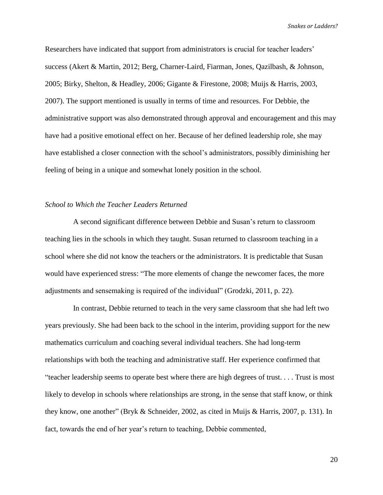Researchers have indicated that support from administrators is crucial for teacher leaders' success (Akert & Martin, 2012; Berg, Charner-Laird, Fiarman, Jones, Qazilbash, & Johnson, 2005; Birky, Shelton, & Headley, 2006; Gigante & Firestone, 2008; Muijs & Harris, 2003, 2007). The support mentioned is usually in terms of time and resources. For Debbie, the administrative support was also demonstrated through approval and encouragement and this may have had a positive emotional effect on her. Because of her defined leadership role, she may have established a closer connection with the school's administrators, possibly diminishing her feeling of being in a unique and somewhat lonely position in the school.

# *School to Which the Teacher Leaders Returned*

A second significant difference between Debbie and Susan's return to classroom teaching lies in the schools in which they taught. Susan returned to classroom teaching in a school where she did not know the teachers or the administrators. It is predictable that Susan would have experienced stress: "The more elements of change the newcomer faces, the more adjustments and sensemaking is required of the individual" (Grodzki, 2011, p. 22).

In contrast, Debbie returned to teach in the very same classroom that she had left two years previously. She had been back to the school in the interim, providing support for the new mathematics curriculum and coaching several individual teachers. She had long-term relationships with both the teaching and administrative staff. Her experience confirmed that "teacher leadership seems to operate best where there are high degrees of trust. . . . Trust is most likely to develop in schools where relationships are strong, in the sense that staff know, or think they know, one another" (Bryk & Schneider, 2002, as cited in Muijs & Harris, 2007, p. 131). In fact, towards the end of her year's return to teaching, Debbie commented,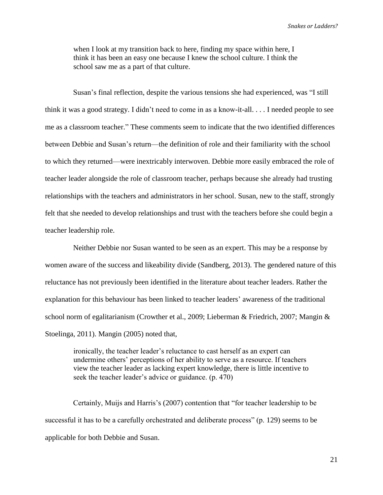when I look at my transition back to here, finding my space within here, I think it has been an easy one because I knew the school culture. I think the school saw me as a part of that culture.

Susan's final reflection, despite the various tensions she had experienced, was "I still think it was a good strategy. I didn't need to come in as a know-it-all. . . . I needed people to see me as a classroom teacher." These comments seem to indicate that the two identified differences between Debbie and Susan's return—the definition of role and their familiarity with the school to which they returned—were inextricably interwoven. Debbie more easily embraced the role of teacher leader alongside the role of classroom teacher, perhaps because she already had trusting relationships with the teachers and administrators in her school. Susan, new to the staff, strongly felt that she needed to develop relationships and trust with the teachers before she could begin a teacher leadership role.

Neither Debbie nor Susan wanted to be seen as an expert. This may be a response by women aware of the success and likeability divide (Sandberg, 2013). The gendered nature of this reluctance has not previously been identified in the literature about teacher leaders. Rather the explanation for this behaviour has been linked to teacher leaders' awareness of the traditional school norm of egalitarianism (Crowther et al., 2009; Lieberman & Friedrich, 2007; Mangin & Stoelinga, 2011). Mangin (2005) noted that,

ironically, the teacher leader's reluctance to cast herself as an expert can undermine others' perceptions of her ability to serve as a resource. If teachers view the teacher leader as lacking expert knowledge, there is little incentive to seek the teacher leader's advice or guidance. (p. 470)

Certainly, Muijs and Harris's (2007) contention that "for teacher leadership to be successful it has to be a carefully orchestrated and deliberate process" (p. 129) seems to be applicable for both Debbie and Susan.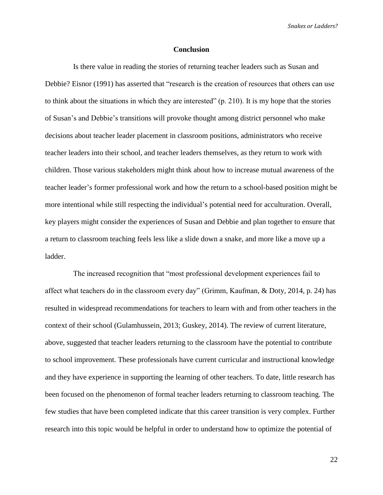#### **Conclusion**

Is there value in reading the stories of returning teacher leaders such as Susan and Debbie? Eisnor (1991) has asserted that "research is the creation of resources that others can use to think about the situations in which they are interested" (p. 210). It is my hope that the stories of Susan's and Debbie's transitions will provoke thought among district personnel who make decisions about teacher leader placement in classroom positions, administrators who receive teacher leaders into their school, and teacher leaders themselves, as they return to work with children. Those various stakeholders might think about how to increase mutual awareness of the teacher leader's former professional work and how the return to a school-based position might be more intentional while still respecting the individual's potential need for acculturation. Overall, key players might consider the experiences of Susan and Debbie and plan together to ensure that a return to classroom teaching feels less like a slide down a snake, and more like a move up a ladder.

The increased recognition that "most professional development experiences fail to affect what teachers do in the classroom every day" (Grimm, Kaufman, & Doty, 2014, p. 24) has resulted in widespread recommendations for teachers to learn with and from other teachers in the context of their school (Gulamhussein, 2013; Guskey, 2014). The review of current literature, above, suggested that teacher leaders returning to the classroom have the potential to contribute to school improvement. These professionals have current curricular and instructional knowledge and they have experience in supporting the learning of other teachers. To date, little research has been focused on the phenomenon of formal teacher leaders returning to classroom teaching. The few studies that have been completed indicate that this career transition is very complex. Further research into this topic would be helpful in order to understand how to optimize the potential of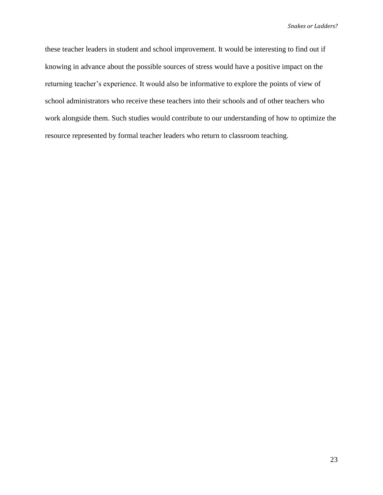these teacher leaders in student and school improvement. It would be interesting to find out if knowing in advance about the possible sources of stress would have a positive impact on the returning teacher's experience. It would also be informative to explore the points of view of school administrators who receive these teachers into their schools and of other teachers who work alongside them. Such studies would contribute to our understanding of how to optimize the resource represented by formal teacher leaders who return to classroom teaching.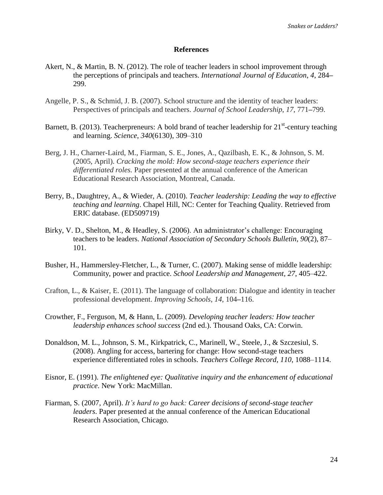### **References**

- Akert, N., & Martin, B. N. (2012). The role of teacher leaders in school improvement through the perceptions of principals and teachers. *International Journal of Education*, *4*, 284**–** 299.
- Angelle, P. S., & Schmid, J. B. (2007). School structure and the identity of teacher leaders: Perspectives of principals and teachers. *Journal of School Leadership*, *17*, 771**–**799.
- Barnett, B. (2013). Teacherpreneurs: A bold brand of teacher leadership for  $21<sup>st</sup>$ -century teaching and learning. *Science*, *340*(6130), 309–310
- Berg, J. H., Charner-Laird, M., Fiarman, S. E., Jones, A., Qazilbash, E. K., & Johnson, S. M. (2005, April). *Cracking the mold: How second-stage teachers experience their differentiated roles.* Paper presented at the annual conference of the American Educational Research Association, Montreal, Canada.
- Berry, B., Daughtrey, A., & Wieder, A. (2010). *Teacher leadership: Leading the way to effective teaching and learning*. Chapel Hill, NC: Center for Teaching Quality. Retrieved from ERIC database. (ED509719)
- Birky, V. D., Shelton, M., & Headley, S. (2006). An administrator's challenge: Encouraging teachers to be leaders. *National Association of Secondary Schools Bulletin*, *90*(2), 87– 101.
- Busher, H., Hammersley-Fletcher, L., & Turner, C. (2007). Making sense of middle leadership: Community, power and practice. *School Leadership and Management*, *27*, 405–422.
- Crafton, L., & Kaiser, E. (2011). The language of collaboration: Dialogue and identity in teacher professional development. *Improving Schools*, *14*, 104**–**116.
- Crowther, F., Ferguson, M, & Hann, L. (2009). *Developing teacher leaders: How teacher leadership enhances school success* (2nd ed.). Thousand Oaks, CA: Corwin.
- Donaldson, M. L., Johnson, S. M., Kirkpatrick, C., Marinell, W., Steele, J., & Szczesiul, S. (2008). Angling for access, bartering for change: How second-stage teachers experience differentiated roles in schools. *Teachers College Record*, *110*, 1088–1114.
- Eisnor, E. (1991). *The enlightened eye: Qualitative inquiry and the enhancement of educational practice*. New York: MacMillan.
- Fiarman, S. (2007, April). *It's hard to go back: Career decisions of second-stage teacher leaders*. Paper presented at the annual conference of the American Educational Research Association, Chicago.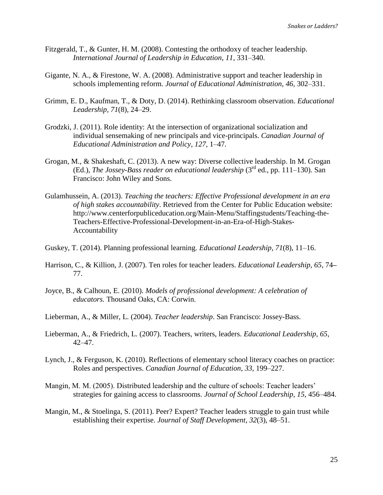- Fitzgerald, T., & Gunter, H. M. (2008). Contesting the orthodoxy of teacher leadership. *International Journal of Leadership in Education*, *11*, 331–340.
- Gigante, N. A., & Firestone, W. A. (2008). Administrative support and teacher leadership in schools implementing reform. *Journal of Educational Administration*, *46*, 302–331.
- Grimm, E. D., Kaufman, T., & Doty, D. (2014). Rethinking classroom observation. *Educational Leadership, 71*(8), 24–29.
- Grodzki, J. (2011). Role identity: At the intersection of organizational socialization and individual sensemaking of new principals and vice-principals. *Canadian Journal of Educational Administration and Policy*, *127*, 1–47*.*
- Grogan, M., & Shakeshaft, C. (2013). A new way: Diverse collective leadership. In M. Grogan (Ed.), *The Jossey-Bass reader on educational leadership* (3<sup>rd</sup> ed., pp. 111–130). San Francisco: John Wiley and Sons.
- Gulamhussein, A. (2013). *Teaching the teachers: Effective Professional development in an era of high stakes accountability*. Retrieved from the Center for Public Education website: http://www.centerforpubliceducation.org/Main-Menu/Staffingstudents/Teaching-the-Teachers-Effective-Professional-Development-in-an-Era-of-High-Stakes-Accountability
- Guskey, T. (2014). Planning professional learning. *Educational Leadership*, *71*(8), 11–16.
- Harrison, C., & Killion, J. (2007). Ten roles for teacher leaders. *Educational Leadership*, *65*, 74**–** 77.
- Joyce, B., & Calhoun, E. (2010). *Models of professional development: A celebration of educators.* Thousand Oaks, CA: Corwin.
- Lieberman, A., & Miller, L. (2004). *Teacher leadership*. San Francisco: Jossey-Bass.
- Lieberman, A., & Friedrich, L. (2007). Teachers, writers, leaders. *Educational Leadership*, *65*, 42–47.
- Lynch, J., & Ferguson, K. (2010). Reflections of elementary school literacy coaches on practice: Roles and perspectives. *Canadian Journal of Education*, *33*, 199–227.
- Mangin, M. M. (2005). Distributed leadership and the culture of schools: Teacher leaders' strategies for gaining access to classrooms. *Journal of School Leadership*, *15*, 456–484.
- Mangin, M., & Stoelinga, S. (2011). Peer? Expert? Teacher leaders struggle to gain trust while establishing their expertise. *Journal of Staff Development*, *32*(3), 48–51.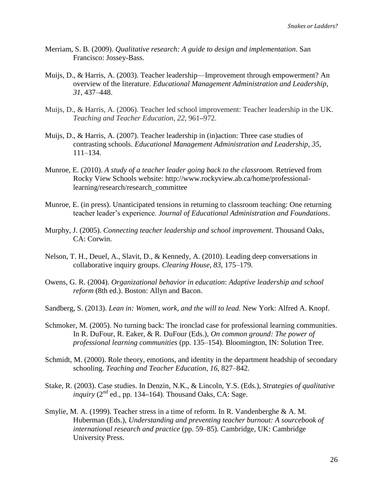- Merriam, S. B. (2009). *Qualitative research: A guide to design and implementation*. San Francisco: Jossey-Bass.
- Muijs, D., & Harris, A. (2003). Teacher leadership—Improvement through empowerment? An overview of the literature. *Educational Management Administration and Leadership*, *31*, 437–448.
- Muijs, D., & Harris, A. (2006). Teacher led school improvement: Teacher leadership in the UK. *Teaching and Teacher Education*, *22*, 961**–**972.
- Muijs, D., & Harris, A. (2007). Teacher leadership in (in)action: Three case studies of contrasting schools. *Educational Management Administration and Leadership*, *35*, 111–134.
- Munroe, E. (2010). *A study of a teacher leader going back to the classroom.* Retrieved from Rocky View Schools website: http://www.rockyview.ab.ca/home/professionallearning/research/research\_committee
- Munroe, E. (in press). Unanticipated tensions in returning to classroom teaching: One returning teacher leader's experience. *Journal of Educational Administration and Foundations*.
- Murphy, J. (2005). *Connecting teacher leadership and school improvement.* Thousand Oaks, CA: Corwin.
- Nelson, T. H., Deuel, A., Slavit, D., & Kennedy, A. (2010). Leading deep conversations in collaborative inquiry groups. *Clearing House*, *83*, 175–179.
- Owens, G. R. (2004). *Organizational behavior in education*: *Adaptive leadership and school reform* (8th ed.). Boston: Allyn and Bacon.
- Sandberg, S. (2013). *Lean in: Women, work, and the will to lead.* New York: Alfred A. Knopf.
- Schmoker, M. (2005). No turning back: The ironclad case for professional learning communities. In R. DuFour, R. Eaker, & R. DuFour (Eds.), *On common ground: The power of professional learning communities* (pp. 135–154). Bloomington, IN: Solution Tree.
- Schmidt, M. (2000). Role theory, emotions, and identity in the department headship of secondary schooling. *Teaching and Teacher Education*, *16*, 827–842.
- Stake, R. (2003). Case studies. In Denzin, N.K., & Lincoln, Y.S. (Eds.), *Strategies of qualitative*  inquiry (2<sup>nd</sup> ed., pp. 134–164). Thousand Oaks, CA: Sage.
- Smylie, M. A. (1999). Teacher stress in a time of reform. In R. Vandenberghe & A. M. Huberman (Eds.), *Understanding and preventing teacher burnout: A sourcebook of international research and practice* (pp. 59–85)*.* Cambridge, UK: Cambridge University Press.